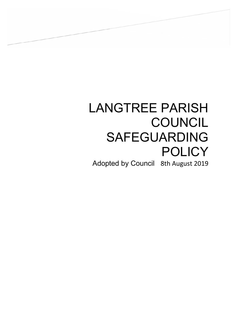# LANGTREE PARISH **COUNCIL** SAFEGUARDING **POLICY**

 $\overline{\phantom{a}}$ 

Adopted by Council 8th August 2019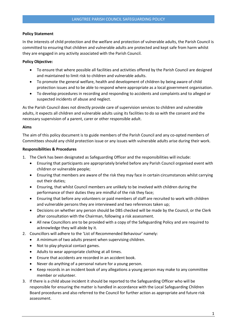# Policy Statement

In the interests of child protection and the welfare and protection of vulnerable adults, the Parish Council is committed to ensuring that children and vulnerable adults are protected and kept safe from harm whilst they are engaged in any activity associated with the Parish Council.

# Policy Objective:

- To ensure that where possible all facilities and activities offered by the Parish Council are designed and maintained to limit risk to children and vulnerable adults.
- To promote the general welfare, health and development of children by being aware of child protection issues and to be able to respond where appropriate as a local government organisation.
- To develop procedures in recording and responding to accidents and complaints and to alleged or suspected incidents of abuse and neglect.

As the Parish Council does not directly provide care of supervision services to children and vulnerable adults, it expects all children and vulnerable adults using its facilities to do so with the consent and the necessary supervision of a parent, carer or other responsible adult.

#### Aims

The aim of this policy document is to guide members of the Parish Council and any co-opted members of Committees should any child protection issue or any issues with vulnerable adults arise during their work.

## Responsibilities & Procedures

- 1. The Clerk has been designated as Safeguarding Officer and the responsibilities will include:
	- Ensuring that participants are appropriately briefed before any Parish Council organised event with children or vulnerable people;
	- Ensuring that members are aware of the risk they may face in certain circumstances whilst carrying out their duties;
	- Ensuring, that whilst Council members are unlikely to be involved with children during the performance of their duties they are mindful of the risk they face;
	- Ensuring that before any volunteers or paid members of staff are recruited to work with children and vulnerable persons they are interviewed and two references taken up;
	- Decisions on whether any person should be DBS checked will be made by the Council, or the Clerk after consultation with the Chairman, following a risk assessment.
	- All new Councillors are to be provided with a copy of the Safeguarding Policy and are required to acknowledge they will abide by it.
- 2. Councillors will adhere to the 'List of Recommended Behaviour' namely:
	- A minimum of two adults present when supervising children.
	- Not to play physical contact games.
	- Adults to wear appropriate clothing at all times.
	- Ensure that accidents are recorded in an accident book.
	- Never do anything of a personal nature for a young person.
	- Keep records in an incident book of any allegations a young person may make to any committee member or volunteer.
- 3. If there is a child abuse incident it should be reported to the Safeguarding Officer who will be responsible for ensuring the matter is handled in accordance with the Local Safeguarding Children Board procedures and also referred to the Council for further action as appropriate and future risk assessment.